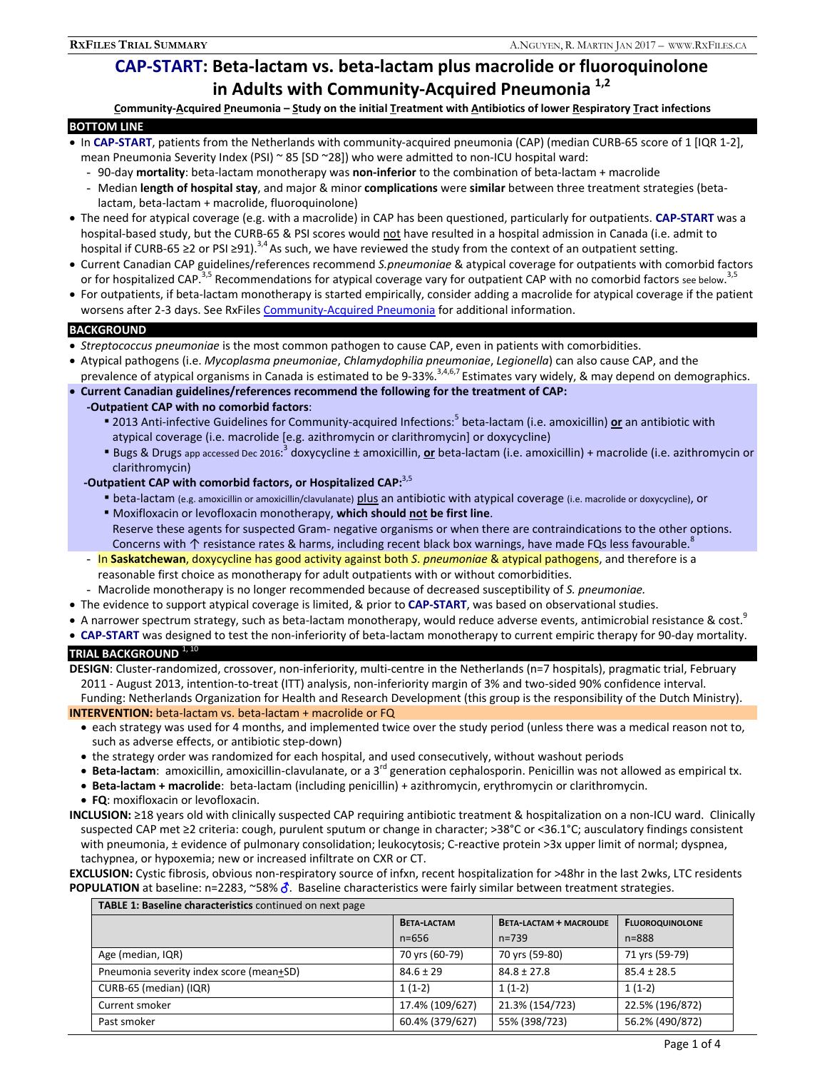# **CAP-START: Beta-lactam vs. beta-lactam plus macrolide or fluoroquinolone in Adults with Community-Acquired Pneumonia 1,2**

**Community-Acquired Pneumonia – Study on the initial Treatment with Antibiotics of lower Respiratory Tract infections** 

### **BOTTOM LINE**

- In **CAP-START**, patients from the Netherlands with community-acquired pneumonia (CAP) (median CURB-65 score of 1 [IQR 1-2], mean Pneumonia Severity Index (PSI) ~ 85 [SD ~28]) who were admitted to non-ICU hospital ward:
	- 90-day **mortality**: beta-lactam monotherapy was **non-inferior** to the combination of beta-lactam + macrolide
	- Median **length of hospital stay**, and major & minor **complications** were **similar** between three treatment strategies (betalactam, beta-lactam + macrolide, fluoroquinolone)
- The need for atypical coverage (e.g. with a macrolide) in CAP has been questioned, particularly for outpatients. **CAP-START** was a hospital-based study, but the CURB-65 & PSI scores would not have resulted in a hospital admission in Canada (i.e. admit to hospital if CURB-65 ≥2 or PSI ≥91).<sup>3,4</sup> As such, we have reviewed the study from the context of an outpatient setting.
- Current Canadian CAP guidelines/references recommend *S.pneumoniae* & atypical coverage for outpatients with comorbid factors or for hospitalized CAP.<sup>3,5</sup> Recommendations for atypical coverage vary for outpatient CAP with no comorbid factors see below.<sup>3,5</sup>
- For outpatients, if beta-lactam monotherapy is started empirically, consider adding a macrolide for atypical coverage if the patient worsens after 2-3 days. See RxFiles Community-Acquired Pneumonia for additional information.

### **BACKGROUND**

- *Streptococcus pneumoniae* is the most common pathogen to cause CAP, even in patients with comorbidities.
- Atypical pathogens (i.e. *Mycoplasma pneumoniae*, *Chlamydophilia pneumoniae*, *Legionella*) can also cause CAP, and the prevalence of atypical organisms in Canada is estimated to be 9-33%.<sup>3,4,6,7</sup> Estimates vary widely, & may depend on demographics.
- **Current Canadian guidelines/references recommend the following for the treatment of CAP:**

### **-Outpatient CAP with no comorbid factors**:

- **Example 2013** Anti-infective Guidelines for Community-acquired Infections:<sup>5</sup> beta-lactam (i.e. amoxicillin) or an antibiotic with atypical coverage (i.e. macrolide [e.g. azithromycin or clarithromycin] or doxycycline)
- Bugs & Drugs app accessed Dec 2016:<sup>3</sup> doxycycline ± amoxicillin, <u>or</u> beta-lactam (i.e. amoxicillin) + macrolide (i.e. azithromycin or clarithromycin)

## **-Outpatient CAP with comorbid factors, or Hospitalized CAP:**3,5

- **Example 15 and 20 amoxicillin or amoxicillin/clavulanate) plus an antibiotic with atypical coverage (i.e. macrolide or doxycycline), or**
- **EXPOXED MOXIFLOXACT MOXIGAT MONOTHER** IN A should not be first line. Reserve these agents for suspected Gram- negative organisms or when there are contraindications to the other options. Concerns with ↑ resistance rates & harms, including recent black box warnings, have made FQs less favourable.<sup>8</sup>
- In **Saskatchewan**, doxycycline has good activity against both *S*. *pneumoniae* & atypical pathogens, and therefore is a reasonable first choice as monotherapy for adult outpatients with or without comorbidities.
- Macrolide monotherapy is no longer recommended because of decreased susceptibility of *S. pneumoniae.*
- The evidence to support atypical coverage is limited, & prior to **CAP-START**, was based on observational studies.
- A narrower spectrum strategy, such as beta-lactam monotherapy, would reduce adverse events, antimicrobial resistance & cost.
- **CAP-START** was designed to test the non-inferiority of beta-lactam monotherapy to current empiric therapy for 90-day mortality.

**TRIAL BACKGROUND** 1, 10

**DESIGN**: Cluster-randomized, crossover, non-inferiority, multi-centre in the Netherlands (n=7 hospitals), pragmatic trial, February 2011 - August 2013, intention-to-treat (ITT) analysis, non-inferiority margin of 3% and two-sided 90% confidence interval. Funding: Netherlands Organization for Health and Research Development (this group is the responsibility of the Dutch Ministry). **INTERVENTION:** beta-lactam vs. beta-lactam + macrolide or FQ

- each strategy was used for 4 months, and implemented twice over the study period (unless there was a medical reason not to, such as adverse effects, or antibiotic step-down)
- the strategy order was randomized for each hospital, and used consecutively, without washout periods
- **Beta-lactam**: amoxicillin, amoxicillin-clavulanate, or a 3<sup>rd</sup> generation cephalosporin. Penicillin was not allowed as empirical tx.
- **Beta-lactam + macrolide**: beta-lactam (including penicillin) + azithromycin, erythromycin or clarithromycin.
- **FQ**: moxifloxacin or levofloxacin.
- **INCLUSION:** ≥18 years old with clinically suspected CAP requiring antibiotic treatment & hospitalization on a non-ICU ward. Clinically suspected CAP met ≥2 criteria: cough, purulent sputum or change in character; >38°C or <36.1°C; ausculatory findings consistent with pneumonia, ± evidence of pulmonary consolidation; leukocytosis; C-reactive protein >3x upper limit of normal; dyspnea, tachypnea, or hypoxemia; new or increased infiltrate on CXR or CT.

**EXCLUSION:** Cystic fibrosis, obvious non-respiratory source of infxn, recent hospitalization for >48hr in the last 2wks, LTC residents **POPULATION** at baseline:  $n=2283$ ,  $\sim 58\%$   $\delta$ . Baseline characteristics were fairly similar between treatment strategies.

| <b>These In Daveling enargeteristies</b> continued on next page |                    |                                |                        |  |  |
|-----------------------------------------------------------------|--------------------|--------------------------------|------------------------|--|--|
|                                                                 | <b>BETA-LACTAM</b> | <b>BETA-LACTAM + MACROLIDE</b> | <b>FLUOROQUINOLONE</b> |  |  |
|                                                                 | $n = 656$          | $n = 739$                      | $n = 888$              |  |  |
| Age (median, IQR)                                               | 70 yrs (60-79)     | 70 yrs (59-80)                 | 71 yrs (59-79)         |  |  |
| Pneumonia severity index score (mean+SD)                        | $84.6 \pm 29$      | $84.8 \pm 27.8$                | $85.4 \pm 28.5$        |  |  |
| CURB-65 (median) (IQR)                                          | $1(1-2)$           | $1(1-2)$                       | $1(1-2)$               |  |  |
| Current smoker                                                  | 17.4% (109/627)    | 21.3% (154/723)                | 22.5% (196/872)        |  |  |
| Past smoker                                                     | 60.4% (379/627)    | 55% (398/723)                  | 56.2% (490/872)        |  |  |
|                                                                 |                    |                                |                        |  |  |

**TABLE 1: Baseline characteristics** continued on next page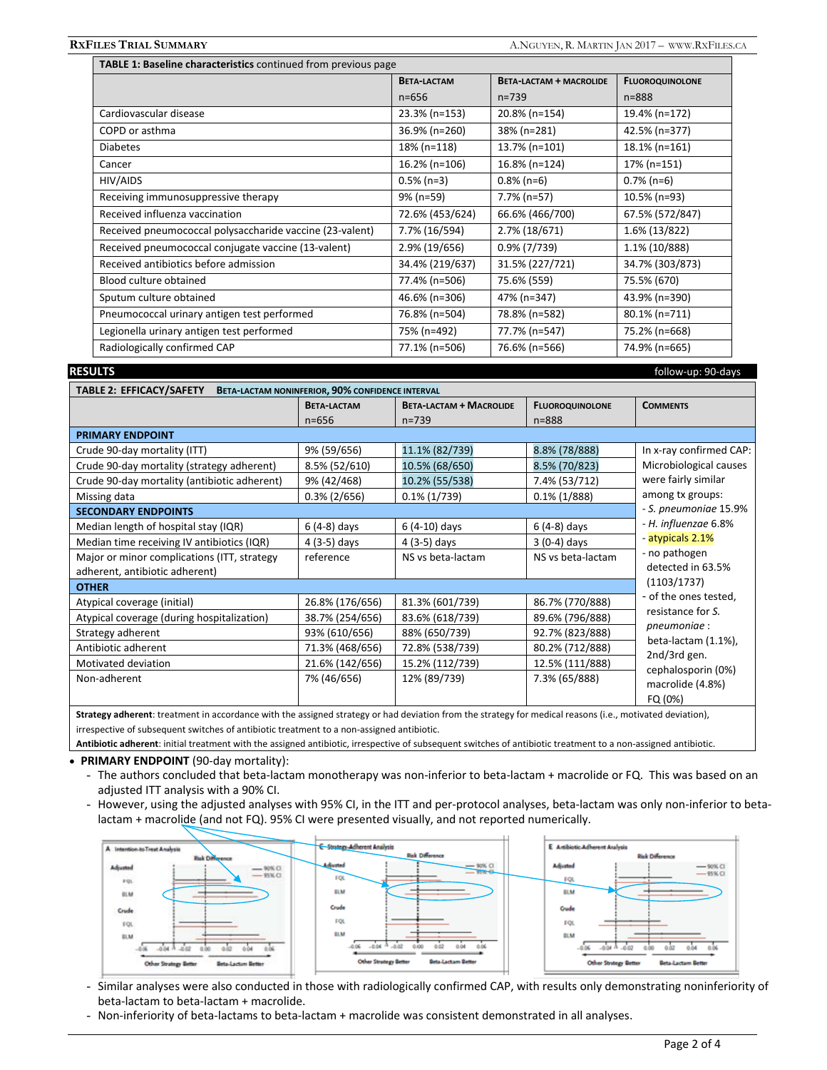| TABLE 1: Baseline characteristics continued from previous page |                    |                                |                        |  |  |
|----------------------------------------------------------------|--------------------|--------------------------------|------------------------|--|--|
|                                                                | <b>BETA-LACTAM</b> | <b>BETA-LACTAM + MACROLIDE</b> | <b>FLUOROQUINOLONE</b> |  |  |
|                                                                | $n = 656$          | $n = 739$                      | $n = 888$              |  |  |
| Cardiovascular disease                                         | 23.3% (n=153)      | 20.8% (n=154)                  | 19.4% (n=172)          |  |  |
| COPD or asthma                                                 | 36.9% (n=260)      | 38% (n=281)                    | 42.5% (n=377)          |  |  |
| <b>Diabetes</b>                                                | 18% (n=118)        | 13.7% (n=101)                  | 18.1% (n=161)          |  |  |
| Cancer                                                         | 16.2% (n=106)      | 16.8% (n=124)                  | 17% (n=151)            |  |  |
| HIV/AIDS                                                       | $0.5\%$ (n=3)      | $0.8\%$ (n=6)                  | $0.7\%$ (n=6)          |  |  |
| Receiving immunosuppressive therapy                            | 9% (n=59)          | 7.7% (n=57)                    | 10.5% (n=93)           |  |  |
| Received influenza vaccination                                 | 72.6% (453/624)    | 66.6% (466/700)                | 67.5% (572/847)        |  |  |
| Received pneumococcal polysaccharide vaccine (23-valent)       | 7.7% (16/594)      | 2.7% (18/671)                  | 1.6% (13/822)          |  |  |
| Received pneumococcal conjugate vaccine (13-valent)            | 2.9% (19/656)      | $0.9\%$ (7/739)                | 1.1% (10/888)          |  |  |
| Received antibiotics before admission                          | 34.4% (219/637)    | 31.5% (227/721)                | 34.7% (303/873)        |  |  |
| Blood culture obtained                                         | 77.4% (n=506)      | 75.6% (559)                    | 75.5% (670)            |  |  |
| Sputum culture obtained                                        | 46.6% (n=306)      | 47% (n=347)                    | 43.9% (n=390)          |  |  |
| Pneumococcal urinary antigen test performed                    | 76.8% (n=504)      | 78.8% (n=582)                  | 80.1% (n=711)          |  |  |
| Legionella urinary antigen test performed                      | 75% (n=492)        | 77.7% (n=547)                  | 75.2% (n=668)          |  |  |
| Radiologically confirmed CAP                                   | 77.1% (n=506)      | 76.6% (n=566)                  | 74.9% (n=665)          |  |  |

**RESULTS** follow-up: 90-days

| TABLE 2: EFFICACY/SAFETY BETA-LACTAM NONINFERIOR, 90% CONFIDENCE INTERVAL                                                                                                                                                          |                    |                                |                        |                                                                                   |  |  |
|------------------------------------------------------------------------------------------------------------------------------------------------------------------------------------------------------------------------------------|--------------------|--------------------------------|------------------------|-----------------------------------------------------------------------------------|--|--|
|                                                                                                                                                                                                                                    | <b>BETA-LACTAM</b> | <b>BETA-LACTAM + MACROLIDE</b> | <b>FLUOROQUINOLONE</b> | <b>COMMENTS</b>                                                                   |  |  |
|                                                                                                                                                                                                                                    | $n = 656$          | $n = 739$                      | $n = 888$              |                                                                                   |  |  |
| <b>PRIMARY ENDPOINT</b>                                                                                                                                                                                                            |                    |                                |                        |                                                                                   |  |  |
| Crude 90-day mortality (ITT)                                                                                                                                                                                                       | 9% (59/656)        | 11.1% (82/739)                 | 8.8% (78/888)          | In x-ray confirmed CAP:                                                           |  |  |
| Crude 90-day mortality (strategy adherent)                                                                                                                                                                                         | 8.5% (52/610)      | 10.5% (68/650)                 | 8.5% (70/823)          | Microbiological causes                                                            |  |  |
| Crude 90-day mortality (antibiotic adherent)                                                                                                                                                                                       | 9% (42/468)        | 10.2% (55/538)                 | 7.4% (53/712)          | were fairly similar<br>among tx groups:                                           |  |  |
| Missing data                                                                                                                                                                                                                       | $0.3\%$ (2/656)    | $0.1\%$ (1/739)                | $0.1\%$ (1/888)        |                                                                                   |  |  |
| <b>SECONDARY ENDPOINTS</b>                                                                                                                                                                                                         |                    |                                |                        | - S. pneumoniae 15.9%                                                             |  |  |
| Median length of hospital stay (IQR)                                                                                                                                                                                               | $6(4-8)$ days      | $6(4-10)$ days                 | $6(4-8)$ days          | - H. influenzae 6.8%<br>- atypicals 2.1%                                          |  |  |
| Median time receiving IV antibiotics (IQR)                                                                                                                                                                                         | $4(3-5)$ days      | $4(3-5)$ days                  | $3(0-4)$ days          |                                                                                   |  |  |
| Major or minor complications (ITT, strategy                                                                                                                                                                                        | reference          | NS vs beta-lactam              | NS vs beta-lactam      | - no pathogen                                                                     |  |  |
| adherent, antibiotic adherent)                                                                                                                                                                                                     |                    |                                |                        | detected in 63.5%                                                                 |  |  |
| <b>OTHER</b>                                                                                                                                                                                                                       |                    |                                |                        | (1103/1737)                                                                       |  |  |
| Atypical coverage (initial)                                                                                                                                                                                                        | 26.8% (176/656)    | 81.3% (601/739)                | 86.7% (770/888)        | - of the ones tested,<br>resistance for S.<br>pneumoniae :<br>beta-lactam (1.1%), |  |  |
| Atypical coverage (during hospitalization)                                                                                                                                                                                         | 38.7% (254/656)    | 83.6% (618/739)                | 89.6% (796/888)        |                                                                                   |  |  |
| Strategy adherent                                                                                                                                                                                                                  | 93% (610/656)      | 88% (650/739)                  | 92.7% (823/888)        |                                                                                   |  |  |
| Antibiotic adherent                                                                                                                                                                                                                | 71.3% (468/656)    | 72.8% (538/739)                | 80.2% (712/888)        |                                                                                   |  |  |
| Motivated deviation                                                                                                                                                                                                                | 21.6% (142/656)    | 15.2% (112/739)                | 12.5% (111/888)        | 2nd/3rd gen.<br>cephalosporin (0%)                                                |  |  |
| Non-adherent                                                                                                                                                                                                                       | 7% (46/656)        | 12% (89/739)                   | 7.3% (65/888)          | macrolide (4.8%)                                                                  |  |  |
|                                                                                                                                                                                                                                    |                    |                                |                        | FQ (0%)                                                                           |  |  |
| $\bullet$ , and the set of the set of the set of the set of the set of the set of the set of the set of the set of the set of the set of the set of the set of the set of the set of the set of the set of the set of the set of t |                    |                                |                        |                                                                                   |  |  |

**Strategy adherent**: treatment in accordance with the assigned strategy or had deviation from the strategy for medical reasons (i.e., motivated deviation), irrespective of subsequent switches of antibiotic treatment to a non-assigned antibiotic.

**Antibiotic adherent**: initial treatment with the assigned antibiotic, irrespective of subsequent switches of antibiotic treatment to a non-assigned antibiotic.

#### **PRIMARY ENDPOINT** (90-day mortality):

- The authors concluded that beta-lactam monotherapy was non-inferior to beta-lactam + macrolide or FQ. This was based on an adjusted ITT analysis with a 90% CI.
- However, using the adjusted analyses with 95% CI, in the ITT and per-protocol analyses, beta-lactam was only non-inferior to betalactam + macrolide (and not FQ). 95% CI were presented visually, and not reported numerically.



- Similar analyses were also conducted in those with radiologically confirmed CAP, with results only demonstrating noninferiority of beta-lactam to beta-lactam + macrolide.
- Non-inferiority of beta-lactams to beta-lactam + macrolide was consistent demonstrated in all analyses.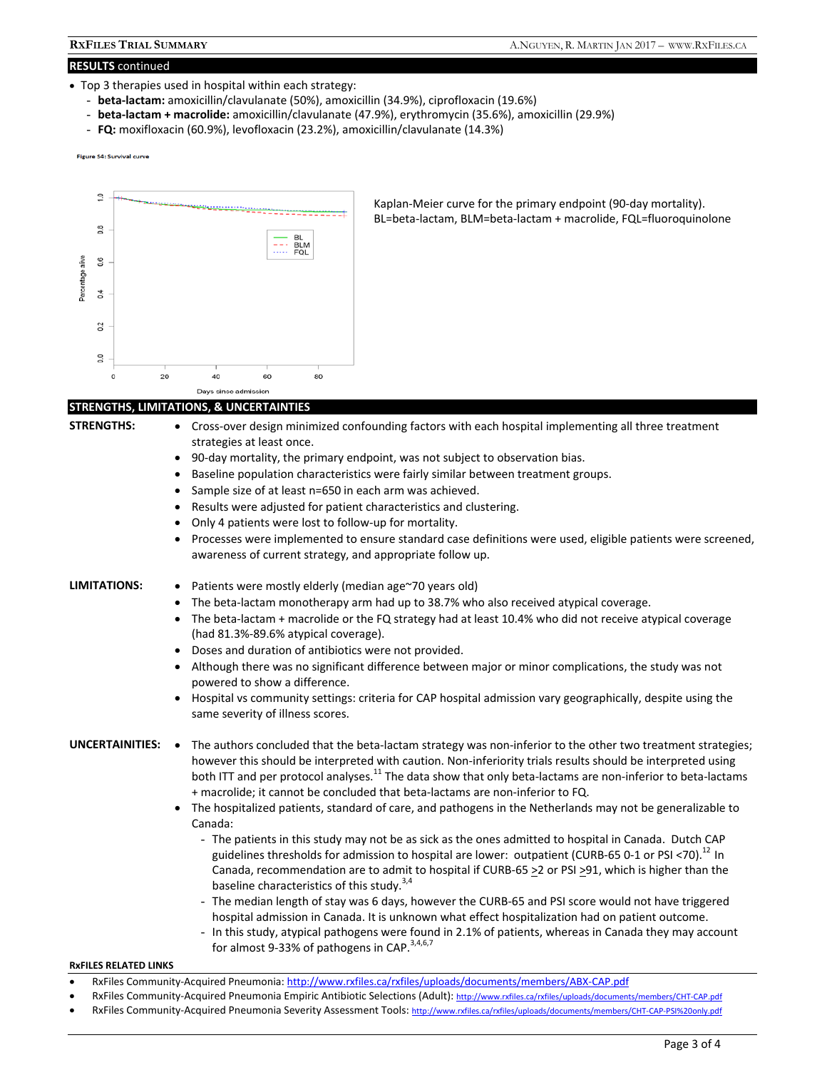### **RESULTS** continued

- Top 3 therapies used in hospital within each strategy:
	- **beta-lactam:** amoxicillin/clavulanate (50%), amoxicillin (34.9%), ciprofloxacin (19.6%)
	- **beta-lactam + macrolide:** amoxicillin/clavulanate (47.9%), erythromycin (35.6%), amoxicillin (29.9%)
	- **FQ:** moxifloxacin (60.9%), levofloxacin (23.2%), amoxicillin/clavulanate (14.3%)

**Figure S4: Survival curve** 



Kaplan-Meier curve for the primary endpoint (90-day mortality). BL=beta-lactam, BLM=beta-lactam + macrolide, FQL=fluoroquinolone

#### **STRENGTHS, LIMITATIONS, & UNCERTAINTIES**

- 
- **STRENGTHS:**  Cross-over design minimized confounding factors with each hospital implementing all three treatment strategies at least once.
	- 90-day mortality, the primary endpoint, was not subject to observation bias.
	- Baseline population characteristics were fairly similar between treatment groups.
	- Sample size of at least n=650 in each arm was achieved.
	- Results were adjusted for patient characteristics and clustering.
	- Only 4 patients were lost to follow-up for mortality.
	- Processes were implemented to ensure standard case definitions were used, eligible patients were screened, awareness of current strategy, and appropriate follow up.

LIMITATIONS: • Patients were mostly elderly (median age~70 years old)

- The beta-lactam monotherapy arm had up to 38.7% who also received atypical coverage.
- The beta-lactam + macrolide or the FQ strategy had at least 10.4% who did not receive atypical coverage (had 81.3%-89.6% atypical coverage).
- Doses and duration of antibiotics were not provided.
- Although there was no significant difference between major or minor complications, the study was not powered to show a difference.
- Hospital vs community settings: criteria for CAP hospital admission vary geographically, despite using the same severity of illness scores.

- UNCERTAINITIES: . The authors concluded that the beta-lactam strategy was non-inferior to the other two treatment strategies; however this should be interpreted with caution. Non-inferiority trials results should be interpreted using both ITT and per protocol analyses.<sup>11</sup> The data show that only beta-lactams are non-inferior to beta-lactams + macrolide; it cannot be concluded that beta-lactams are non-inferior to FQ.
	- The hospitalized patients, standard of care, and pathogens in the Netherlands may not be generalizable to Canada:
		- The patients in this study may not be as sick as the ones admitted to hospital in Canada. Dutch CAP guidelines thresholds for admission to hospital are lower: outpatient (CURB-65 0-1 or PSI <70).<sup>12</sup> In Canada, recommendation are to admit to hospital if CURB-65  $\geq$  2 or PSI  $\geq$ 91, which is higher than the baseline characteristics of this study. $3,4$
		- The median length of stay was 6 days, however the CURB-65 and PSI score would not have triggered hospital admission in Canada. It is unknown what effect hospitalization had on patient outcome.
		- In this study, atypical pathogens were found in 2.1% of patients, whereas in Canada they may account for almost 9-33% of pathogens in CAP. $3,4,6,7$

#### **RxFILES RELATED LINKS**

- RxFiles Community-Acquired Pneumonia: http://www.rxfiles.ca/rxfiles/uploads/documents/members/ABX-CAP.pdf
- RxFiles Community-Acquired Pneumonia Empiric Antibiotic Selections (Adult): http://www.rxfiles.ca/rxfiles/uploads/docum
- RxFiles Community-Acquired Pneumonia Severity Assessment Tools: http://www.rxfiles.ca/rxfiles/uploads/documents/members/CHT-CAP-PSI%20only.pdf